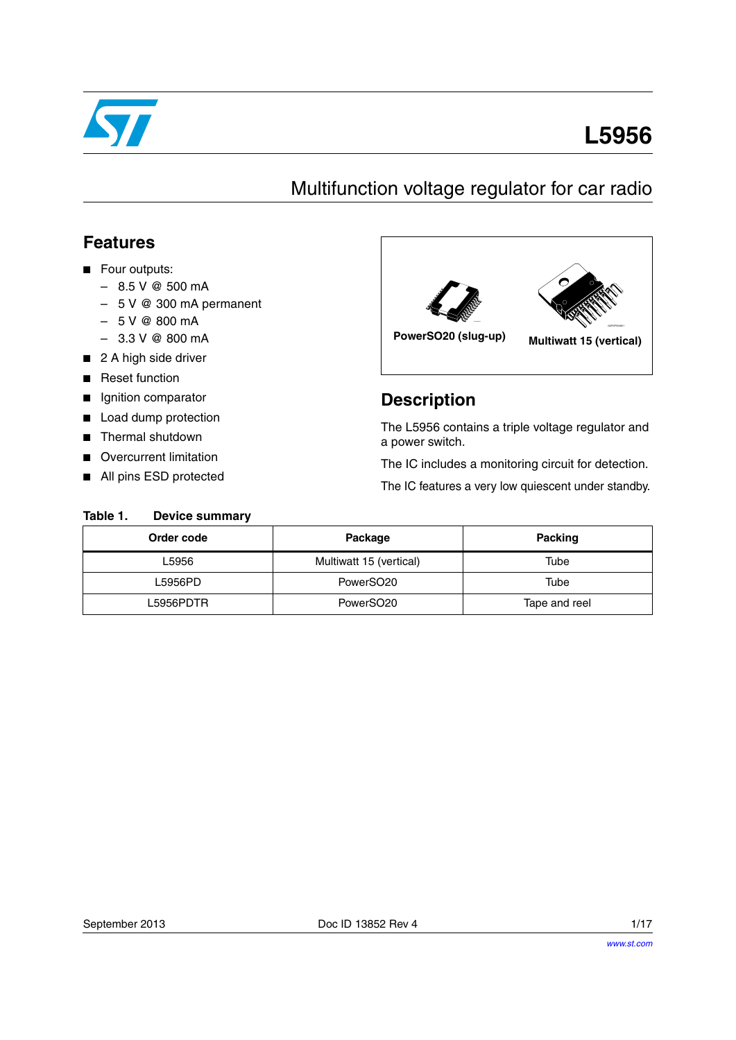

# **L5956**

## Multifunction voltage regulator for car radio

### **Features**

- Four outputs:
	- $-8.5$  V @ 500 mA
	- 5 V @ 300 mA permanent
	- $-5$  V @ 800 mA
	- $-3.3$  V @ 800 mA
- 2 A high side driver
- Reset function
- Ignition comparator
- Load dump protection
- Thermal shutdown

<span id="page-0-0"></span>Table 1.

- **Overcurrent limitation**
- All pins ESD protected

**Device summary** 



### **Description**

The L5956 contains a triple voltage regulator and a power switch.

The IC includes a monitoring circuit for detection.

The IC features a very low quiescent under standby.

| Order code | Package                 | Packing       |
|------------|-------------------------|---------------|
| L5956      | Multiwatt 15 (vertical) | Tube          |
| L5956PD.   | PowerSO <sub>20</sub>   | Tube          |
| L5956PDTR. | PowerSO <sub>20</sub>   | Tape and reel |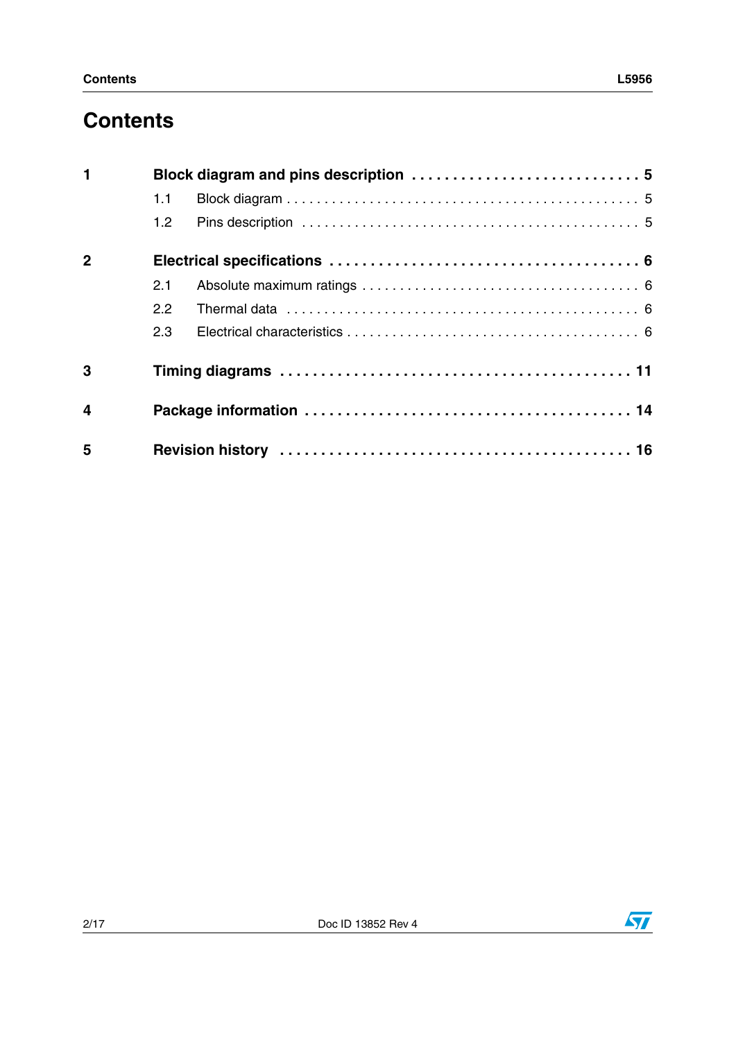## **Contents**

| $\mathbf{1}$            |                  | Block diagram and pins description  5 |
|-------------------------|------------------|---------------------------------------|
|                         | 1.1              |                                       |
|                         | 1.2 <sub>1</sub> |                                       |
| $\overline{2}$          |                  |                                       |
|                         | 2.1              |                                       |
|                         | 2.2              |                                       |
|                         | 2.3              |                                       |
| 3                       |                  |                                       |
| $\overline{\mathbf{4}}$ |                  |                                       |
| 5                       |                  |                                       |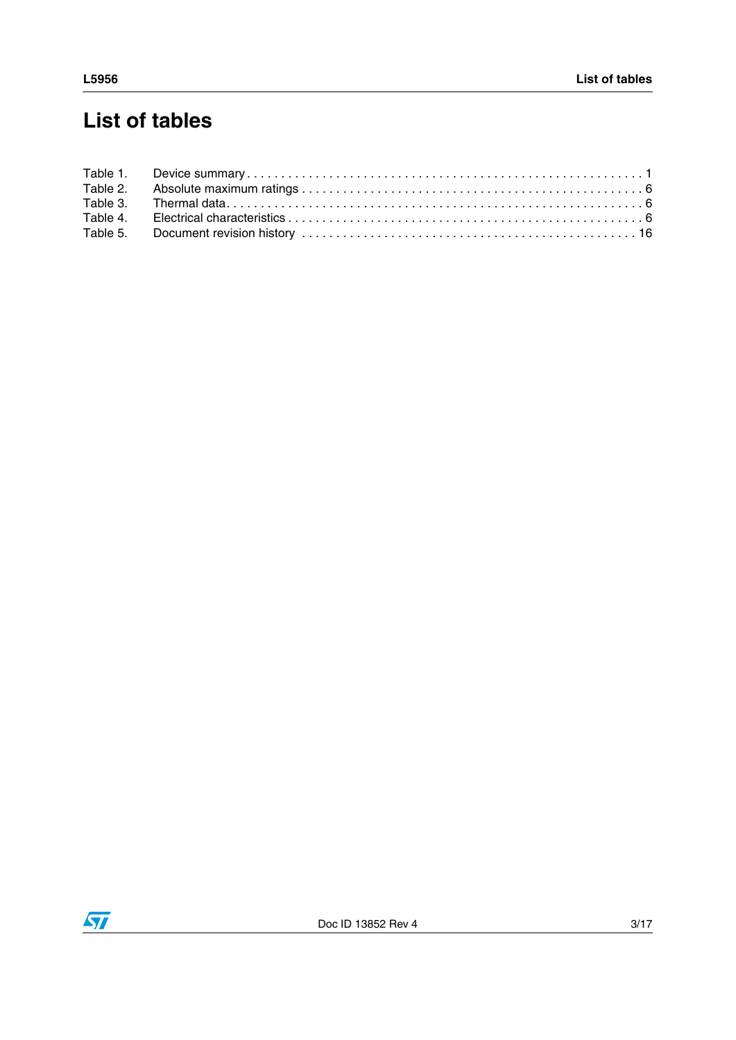## **List of tables**

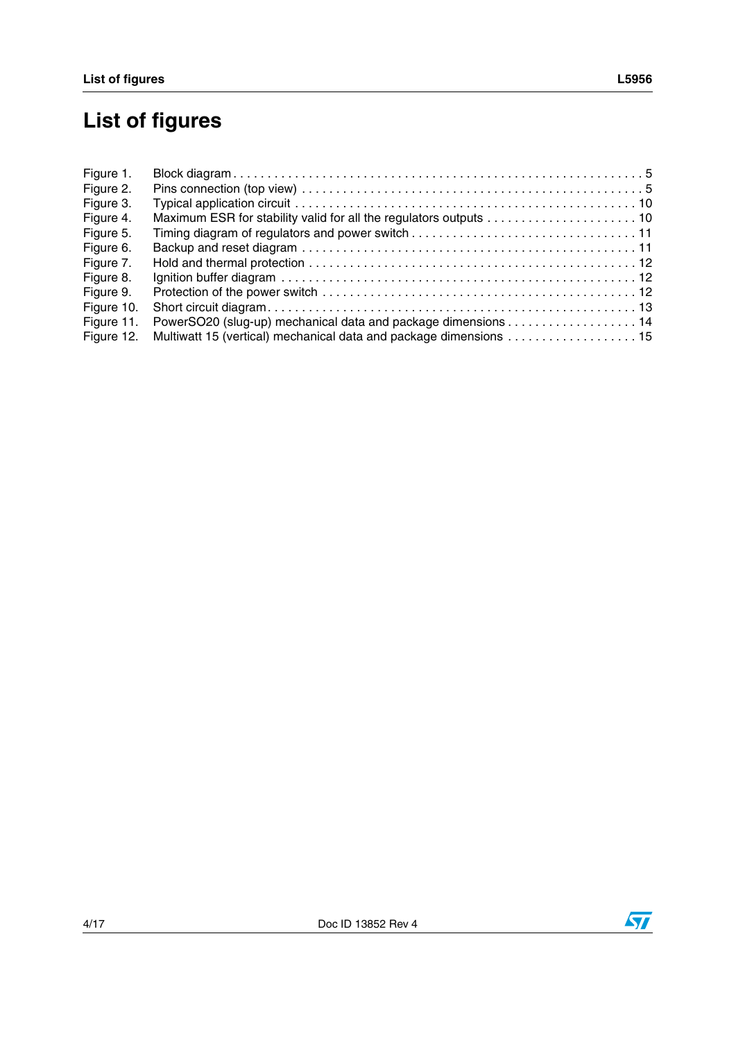# **List of figures**

| Figure 1.  |                                                                    |  |
|------------|--------------------------------------------------------------------|--|
| Figure 2.  |                                                                    |  |
| Figure 3.  |                                                                    |  |
| Figure 4.  |                                                                    |  |
| Figure 5.  |                                                                    |  |
| Figure 6.  |                                                                    |  |
| Figure 7.  |                                                                    |  |
| Figure 8.  |                                                                    |  |
| Figure 9.  |                                                                    |  |
| Figure 10. |                                                                    |  |
| Figure 11. | PowerSO20 (slug-up) mechanical data and package dimensions 14      |  |
| Figure 12. | Multiwatt 15 (vertical) mechanical data and package dimensions  15 |  |



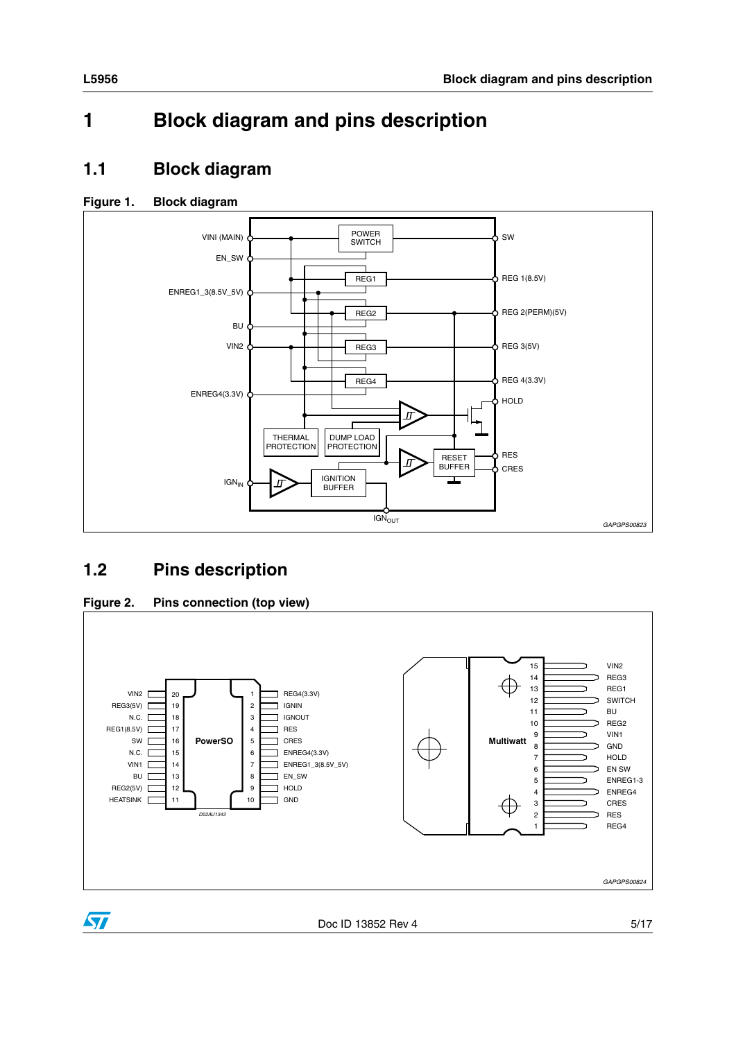## <span id="page-4-0"></span>**1 Block diagram and pins description**

### <span id="page-4-1"></span>**1.1 Block diagram**

### <span id="page-4-3"></span>**Figure 1. Block diagram**



## <span id="page-4-2"></span>**1.2 Pins description**

<span id="page-4-4"></span>



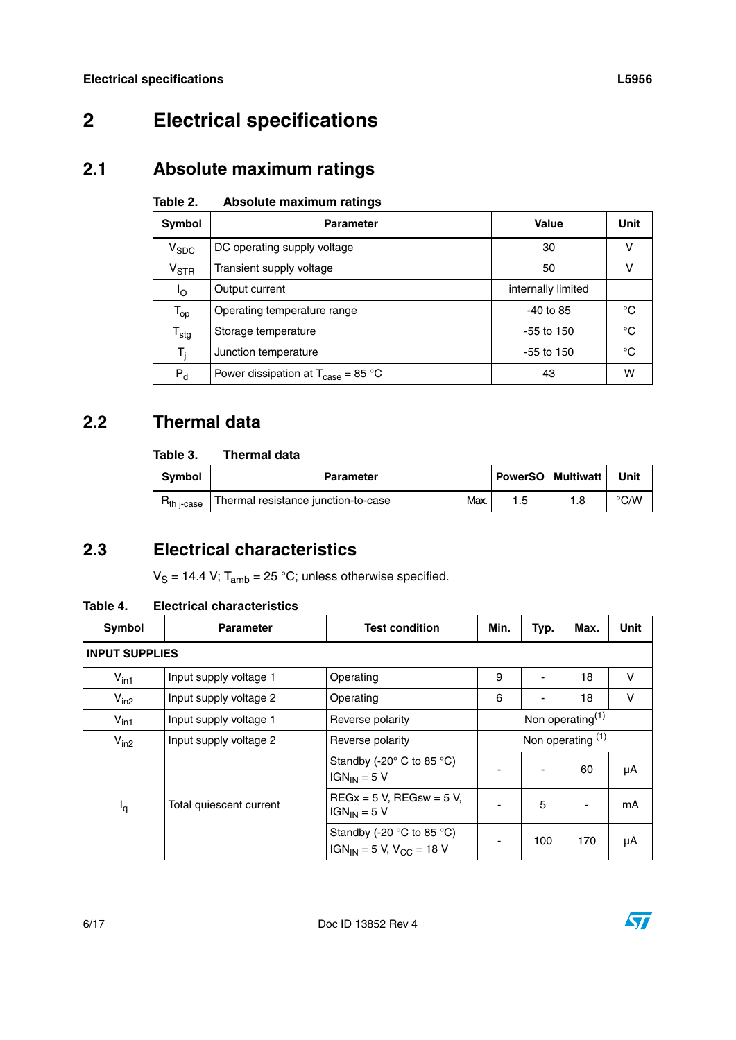## <span id="page-5-0"></span>**2 Electrical specifications**

## <span id="page-5-1"></span>**2.1 Absolute maximum ratings**

#### <span id="page-5-4"></span>Table 2. **Absolute maximum ratings**

| Symbol                    | <b>Parameter</b>                                                     | Value              | Unit |
|---------------------------|----------------------------------------------------------------------|--------------------|------|
| $V_{SDC}$                 | DC operating supply voltage                                          | 30                 |      |
| $V_{\rm STR}$             | Transient supply voltage                                             | 50                 |      |
| ٥l                        | Output current                                                       | internally limited |      |
| $T_{op}$                  | Operating temperature range                                          | $-40$ to 85        | °C   |
| $\mathsf{T}_{\text{stg}}$ | Storage temperature                                                  | $-55$ to 150       | °C   |
| $T_i$                     | Junction temperature                                                 | $-55$ to 150       | °C   |
| $P_{d}$                   | Power dissipation at $T_{\text{case}} = 85 \text{ }^{\circ}\text{C}$ | 43                 | w    |

### <span id="page-5-2"></span>**2.2 Thermal data**

#### <span id="page-5-5"></span>Table 3. **Thermal data**

| <b>Symbol</b> | <b>Parameter</b>                            | <b>PowerSO</b> Multiwatt | Unit          |
|---------------|---------------------------------------------|--------------------------|---------------|
| h i-case      | Max.<br>Thermal resistance junction-to-case | 8. ا                     | $\degree$ C/W |

### <span id="page-5-3"></span>**2.3 Electrical characteristics**

 $V_S = 14.4$  V;  $T_{amb} = 25$  °C; unless otherwise specified.

#### <span id="page-5-6"></span>**Table 4. Electrical characteristics**

| Symbol                | <b>Parameter</b>        | <b>Test condition</b>                                                            | Min.                | Typ. | Max. | <b>Unit</b> |
|-----------------------|-------------------------|----------------------------------------------------------------------------------|---------------------|------|------|-------------|
| <b>INPUT SUPPLIES</b> |                         |                                                                                  |                     |      |      |             |
| $V_{\text{in1}}$      | Input supply voltage 1  | Operating                                                                        | 9                   |      | 18   | v           |
| $V_{in2}$             | Input supply voltage 2  | Operating                                                                        | 6                   | ۰    | 18   | V           |
| $V_{\text{in1}}$      | Input supply voltage 1  | Reverse polarity                                                                 | Non operating $(1)$ |      |      |             |
| $V_{in2}$             | Input supply voltage 2  | Reverse polarity                                                                 | Non operating $(1)$ |      |      |             |
|                       |                         | Standby (-20° C to 85 °C)<br>$IGN_{IN} = 5 V$                                    |                     |      | 60   | μA          |
| <sup>I</sup> q        | Total quiescent current | $REGx = 5$ V, REGsw = 5 V,<br>$IGN_{IN} = 5 V$                                   |                     | 5    |      | mA          |
|                       |                         | Standby (-20 $\degree$ C to 85 $\degree$ C)<br>$IGN_{IN} = 5$ V, $V_{CC} = 18$ V |                     | 100  | 170  | μA          |

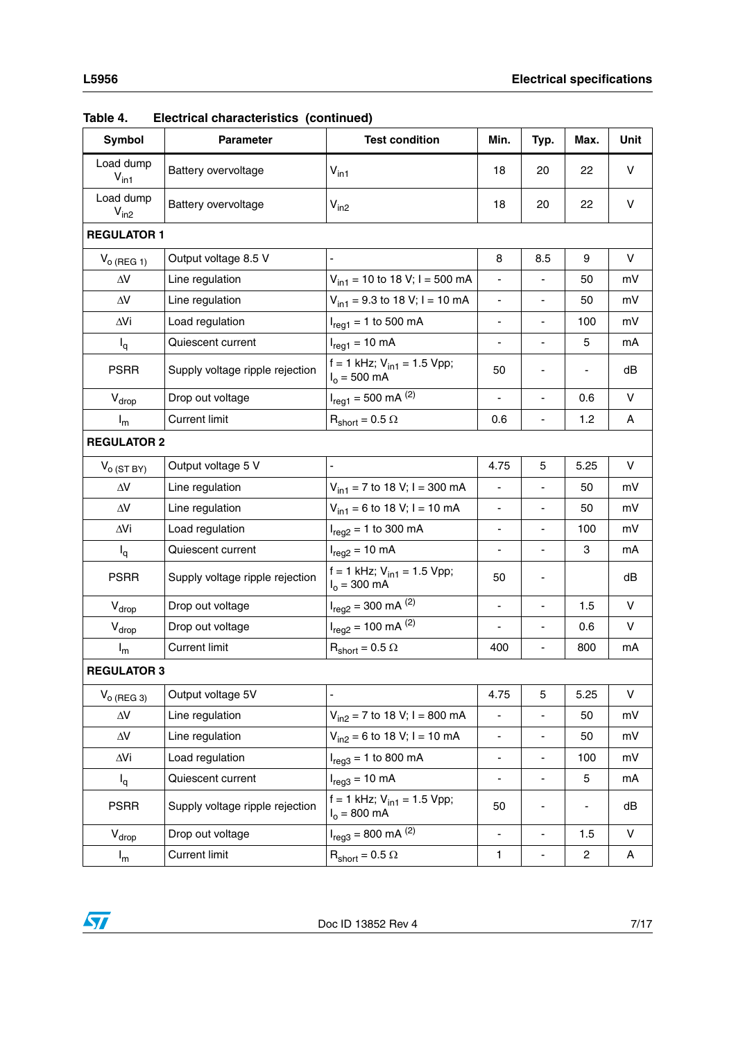| Table 4.                      | Electrical characteristics (continued) |                                                           |                          |                              |      |              |
|-------------------------------|----------------------------------------|-----------------------------------------------------------|--------------------------|------------------------------|------|--------------|
| Symbol                        | <b>Parameter</b>                       | <b>Test condition</b>                                     | Min.                     | Typ.                         | Max. | Unit         |
| Load dump<br>$V_{\text{in1}}$ | Battery overvoltage                    | $V_{\text{in1}}$                                          | 18                       | 20                           | 22   | V            |
| Load dump<br>$V_{in2}$        | Battery overvoltage                    | $V_{in2}$                                                 | 18                       | 20                           | 22   | V            |
| <b>REGULATOR 1</b>            |                                        |                                                           |                          |                              |      |              |
| $V_{o}$ (REG 1)               | Output voltage 8.5 V                   |                                                           | 8                        | 8.5                          | 9    | V            |
| $\Delta\!V$                   | Line regulation                        | $V_{in1}$ = 10 to 18 V; I = 500 mA                        |                          |                              | 50   | mV           |
| $\Delta\!V$                   | Line regulation                        | $V_{in1}$ = 9.3 to 18 V; I = 10 mA                        | $\blacksquare$           | $\overline{\phantom{a}}$     | 50   | mV           |
| $\Delta$ Vi                   | Load regulation                        | $I_{req1} = 1$ to 500 mA                                  | $\overline{\phantom{a}}$ | $\overline{\phantom{0}}$     | 100  | mV           |
| $I_q$                         | Quiescent current                      | $I_{\text{req1}} = 10 \text{ mA}$                         |                          |                              | 5    | mA           |
| <b>PSRR</b>                   | Supply voltage ripple rejection        | f = 1 kHz; $V_{in1}$ = 1.5 Vpp;<br>$I_0 = 500$ mA         | 50                       |                              |      | dB           |
| $V_{drop}$                    | Drop out voltage                       | $I_{reg1} = 500$ mA $^{(2)}$                              | ä,                       | $\overline{a}$               | 0.6  | V            |
| $I_m$                         | <b>Current limit</b>                   | $R_{short} = 0.5 \Omega$                                  | 0.6                      | $\overline{\phantom{a}}$     | 1.2  | A            |
| <b>REGULATOR 2</b>            |                                        |                                                           |                          |                              |      |              |
| $V_{O(STBY)}$                 | Output voltage 5 V                     |                                                           | 4.75                     | 5                            | 5.25 | V            |
| $\Delta\!V$                   | Line regulation                        | $V_{in1}$ = 7 to 18 V; I = 300 mA                         | $\Box$                   |                              | 50   | mV           |
| $\Delta\!V$                   | Line regulation                        | $V_{in1}$ = 6 to 18 V; I = 10 mA                          | $\overline{\phantom{a}}$ | ÷,                           | 50   | mV           |
| $\Delta$ Vi                   | Load regulation                        | $I_{reg2} = 1$ to 300 mA                                  | $\overline{\phantom{a}}$ | $\qquad \qquad \blacksquare$ | 100  | mV           |
| $I_q$                         | Quiescent current                      | $I_{\text{req2}} = 10 \text{ mA}$                         |                          |                              | 3    | mA           |
| <b>PSRR</b>                   | Supply voltage ripple rejection        | f = 1 kHz; $V_{in1}$ = 1.5 Vpp;<br>$I_0 = 300 \text{ mA}$ | 50                       |                              |      | dB           |
| $V_{drop}$                    | Drop out voltage                       | $I_{reg2} = 300$ mA $^{(2)}$                              | ä,                       | $\overline{a}$               | 1.5  | $\mathsf{V}$ |
| $V_{drop}$                    | Drop out voltage                       | $I_{reg2}$ = 100 mA $^{(2)}$                              | $\overline{\phantom{a}}$ | $\blacksquare$               | 0.6  | $\vee$       |
| $I_m$                         | <b>Current limit</b>                   | $\text{R}_{\text{short}} = 0.5 \ \Omega$                  | 400                      | $\overline{\phantom{a}}$     | 800  | mA           |
| <b>REGULATOR 3</b>            |                                        |                                                           |                          |                              |      |              |
| $V_{O}$ (REG 3)               | Output voltage 5V                      | $\frac{1}{2}$                                             | 4.75                     | 5                            | 5.25 | V            |
| $\Delta\!V$                   | Line regulation                        | $V_{in2}$ = 7 to 18 V; I = 800 mA                         | $\blacksquare$           | $\blacksquare$               | 50   | mV           |
| $\Delta\!V$                   | Line regulation                        | $V_{in2} = 6$ to 18 V; I = 10 mA                          | $\blacksquare$           | $\overline{\phantom{a}}$     | 50   | mV           |
| $\Delta$ Vi                   | Load regulation                        | $I_{\text{req3}} = 1$ to 800 mA                           | -                        | $\overline{\phantom{0}}$     | 100  | mV           |
| $I_q$                         | Quiescent current                      | $I_{\text{req3}} = 10 \text{ mA}$                         | $\overline{\phantom{a}}$ | $\overline{\phantom{a}}$     | 5    | mA           |
| <b>PSRR</b>                   | Supply voltage ripple rejection        | f = 1 kHz; $V_{in1}$ = 1.5 Vpp;<br>$I_0 = 800 \text{ mA}$ | 50                       |                              |      | dB           |
| $V_{drop}$                    | Drop out voltage                       | $I_{reg3} = 800$ mA $^{(2)}$                              | $\blacksquare$           | ÷                            | 1.5  | V            |



 $I_m$  Current limit  $R_{short} = 0.5 \Omega$  1 - 2 A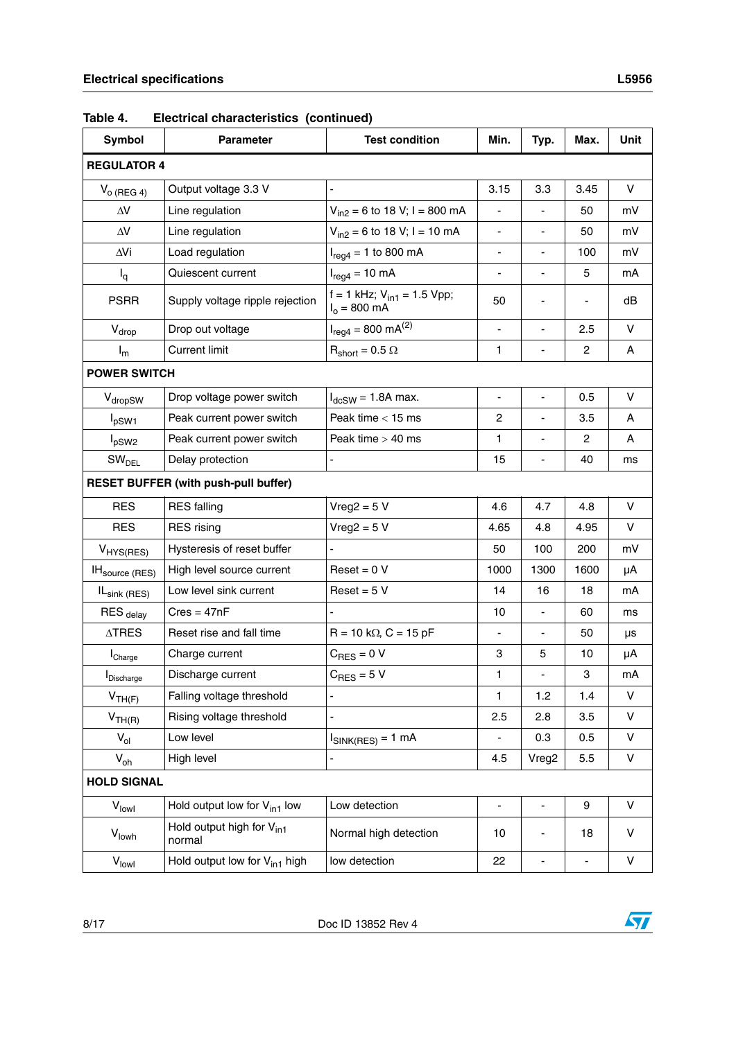| Symbol                     | <b>Parameter</b>                                | <b>Test condition</b>                             | Min.                         | Typ.                     | Max.           | Unit   |
|----------------------------|-------------------------------------------------|---------------------------------------------------|------------------------------|--------------------------|----------------|--------|
| <b>REGULATOR 4</b>         |                                                 |                                                   |                              |                          |                |        |
| $V_{O (REG 4)}$            | Output voltage 3.3 V                            | $\blacksquare$                                    | 3.15                         | 3.3                      | 3.45           | V      |
| $\Delta V$                 | Line regulation                                 | $V_{in2} = 6$ to 18 V; I = 800 mA                 |                              |                          | 50             | mV     |
| $\Delta\!V$                | Line regulation                                 | $V_{in2} = 6$ to 18 V; I = 10 mA                  |                              |                          | 50             | mV     |
| ∆Vi                        | Load regulation                                 | $I_{reg4} = 1$ to 800 mA                          | $\overline{\phantom{a}}$     | $\blacksquare$           | 100            | mV     |
| $I_q$                      | Quiescent current                               | $I_{reg4} = 10 \text{ mA}$                        | $\qquad \qquad \blacksquare$ | $\blacksquare$           | 5              | mA     |
| <b>PSRR</b>                | Supply voltage ripple rejection                 | f = 1 kHz; $V_{in1}$ = 1.5 Vpp;<br>$I_0 = 800$ mA | 50                           | ٠                        |                | dB     |
| $V_{drop}$                 | Drop out voltage                                | $I_{reg4} = 800 \text{ mA}^{(2)}$                 | $\blacksquare$               | $\overline{\phantom{m}}$ | 2.5            | v      |
| $I_m$                      | <b>Current limit</b>                            | $R_{short} = 0.5 \Omega$                          | 1                            | $\blacksquare$           | $\overline{2}$ | Α      |
| <b>POWER SWITCH</b>        |                                                 |                                                   |                              |                          |                |        |
| V <sub>dropSW</sub>        | Drop voltage power switch                       | $I_{dcSW}$ = 1.8A max.                            | $\overline{\phantom{a}}$     | $\blacksquare$           | 0.5            | V      |
| $I_{pSW1}$                 | Peak current power switch                       | Peak time $<$ 15 ms                               | 2                            |                          | 3.5            | A      |
| $I_{pSW2}$                 | Peak current power switch                       | Peak time $>$ 40 ms                               | 1                            |                          | 2              | A      |
| SW <sub>DEL</sub>          | Delay protection                                | $\overline{a}$                                    | 15                           | $\blacksquare$           | 40             | ms     |
|                            | <b>RESET BUFFER (with push-pull buffer)</b>     |                                                   |                              |                          |                |        |
| <b>RES</b>                 | <b>RES</b> falling                              | $Vreg2 = 5 V$                                     | 4.6                          | 4.7                      | 4.8            | $\vee$ |
| <b>RES</b>                 | <b>RES</b> rising                               | $Vreg2 = 5 V$                                     | 4.65                         | 4.8                      | 4.95           | V      |
| $V_{HYS(RES)}$             | Hysteresis of reset buffer                      |                                                   | 50                           | 100                      | 200            | mV     |
| IH <sub>source</sub> (RES) | High level source current                       | $Reset = 0 V$                                     | 1000                         | 1300                     | 1600           | μA     |
| IL <sub>sink (RES)</sub>   | Low level sink current                          | $Reset = 5 V$                                     | 14                           | 16                       | 18             | mA     |
| RES <sub>delay</sub>       | $Cres = 47nF$                                   |                                                   | 10                           | $\blacksquare$           | 60             | ms     |
| $\Delta \mathsf{TRES}$     | Reset rise and fall time                        | $R = 10 k\Omega$ , $C = 15 pF$                    | $\overline{\phantom{a}}$     | $\overline{\phantom{m}}$ | 50             | μs     |
| Charge                     | Charge current                                  | $C_{RFS} = 0 V$                                   | 3                            | 5                        | 10             | μA     |
| <b>I</b> Discharge         | Discharge current                               | $C_{RES} = 5 V$                                   | 1                            |                          | 3              | mA     |
| $V_{TH(F)}$                | Falling voltage threshold                       | ÷,                                                | 1                            | 1.2                      | 1.4            | V      |
| V <sub>TH(R)</sub>         | Rising voltage threshold                        | ÷,                                                | 2.5                          | 2.8                      | 3.5            | V      |
| $V_{ol}$                   | Low level                                       | $I_{\text{SINK(RES)}} = 1 \text{ mA}$             | $\overline{\phantom{0}}$     | 0.3                      | 0.5            | V      |
| $V_{oh}$                   | High level                                      | ÷,                                                | 4.5                          | Vreg2                    | 5.5            | V      |
| <b>HOLD SIGNAL</b>         |                                                 |                                                   |                              |                          |                |        |
| V <sub>lowl</sub>          | Hold output low for $V_{in1}$ low               | Low detection                                     | $\overline{\phantom{a}}$     | $\overline{\phantom{a}}$ | 9              | V      |
| Vlowh                      | Hold output high for V <sub>in1</sub><br>normal | Normal high detection                             | 10                           |                          | 18             | V      |
| $V_{\text{low}}$           | Hold output low for $V_{in1}$ high              | low detection                                     | 22                           | -                        | -              | V      |

**Table 4. Electrical characteristics (continued)**

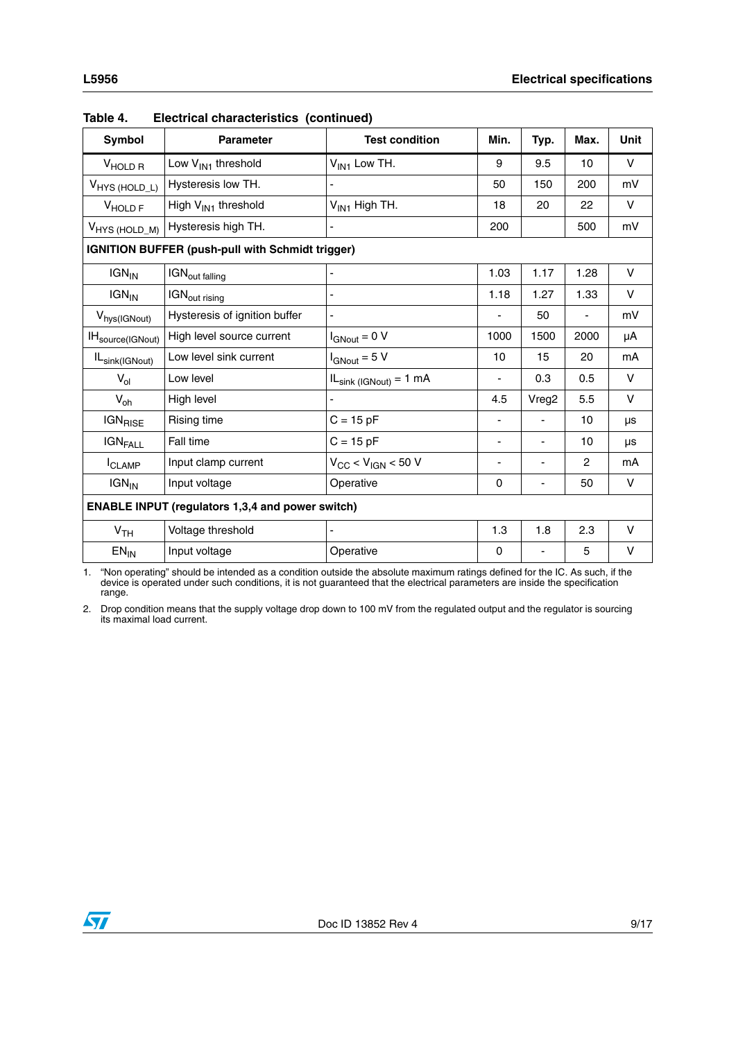| ۰. |  |  |
|----|--|--|

| 0011001 0110100101100100 (00110110007 |                                                         |                             |                          |                          |                |        |
|---------------------------------------|---------------------------------------------------------|-----------------------------|--------------------------|--------------------------|----------------|--------|
| Symbol                                | <b>Parameter</b>                                        | <b>Test condition</b>       | Min.                     | Typ.                     | Max.           | Unit   |
| V <sub>HOLDR</sub>                    | Low V <sub>IN1</sub> threshold                          | $V_{IN1}$ Low TH.           | 9                        | 9.5                      | 10             | $\vee$ |
| V <sub>HYS (HOLD_L)</sub>             | Hysteresis low TH.                                      |                             | 50                       | 150                      | 200            | mV     |
| V <sub>HOLD</sub> <sub>F</sub>        | High V <sub>IN1</sub> threshold                         | $V_{IN1}$ High TH.          | 18                       | 20                       | 22             | $\vee$ |
| V <sub>HYS</sub> (HOLD_M)             | Hysteresis high TH.                                     |                             | 200                      |                          | 500            | mV     |
|                                       | <b>IGNITION BUFFER (push-pull with Schmidt trigger)</b> |                             |                          |                          |                |        |
| $IGN_{IN}$                            | IGN <sub>out falling</sub>                              |                             | 1.03                     | 1.17                     | 1.28           | $\vee$ |
| $IGN_{IN}$                            | IGN <sub>out rising</sub>                               | Ĭ.                          | 1.18                     | 1.27                     | 1.33           | V      |
| V <sub>hys</sub> (IGNout)             | Hysteresis of ignition buffer                           |                             |                          | 50                       | -              | mV     |
| IH <sub>source</sub> (IGNout)         | High level source current                               | $I_{\text{GNout}} = 0 V$    | 1000                     | 1500                     | 2000           | μA     |
| IL <sub>sink</sub> (IGNout)           | Low level sink current                                  | $I_{\text{GNout}} = 5 V$    | 10                       | 15                       | 20             | mA     |
| $V_{ol}$                              | Low level                                               | $ILsink (IGNout) = 1 mA$    | ä,                       | 0.3                      | 0.5            | $\vee$ |
| $V_{oh}$                              | High level                                              |                             | 4.5                      | Vreg2                    | 5.5            | $\vee$ |
| IGN <sub>RISE</sub>                   | Rising time                                             | $C = 15 pF$                 | $\overline{\phantom{0}}$ | $\blacksquare$           | 10             | μs     |
| <b>IGNFALL</b>                        | Fall time                                               | $C = 15 pF$                 | ٠                        | -                        | 10             | μs     |
| <b>I</b> CLAMP                        | Input clamp current                                     | $V_{CC}$ < $V_{IGN}$ < 50 V | ٠                        | $\overline{\phantom{a}}$ | $\overline{c}$ | mA     |
| $IGN_{IN}$                            | Input voltage                                           | Operative                   | 0                        | ٠                        | 50             | V      |
|                                       | <b>ENABLE INPUT (regulators 1,3,4 and power switch)</b> |                             |                          |                          |                |        |
| V <sub>TH</sub>                       | Voltage threshold                                       |                             | 1.3                      | 1.8                      | 2.3            | V      |
| $EN_{IN}$                             | Input voltage                                           | Operative                   | 0                        |                          | 5              | V      |

| Table 4. | Electrical characteristics (continued) |  |
|----------|----------------------------------------|--|
|          |                                        |  |

1. "Non operating" should be intended as a condition outside the absolute maximum ratings defined for the IC. As such, if the device is operated under such conditions, it is not guaranteed that the electrical parameters are inside the specification range.

<span id="page-8-0"></span>2. Drop condition means that the supply voltage drop down to 100 mV from the regulated output and the regulator is sourcing its maximal load current.

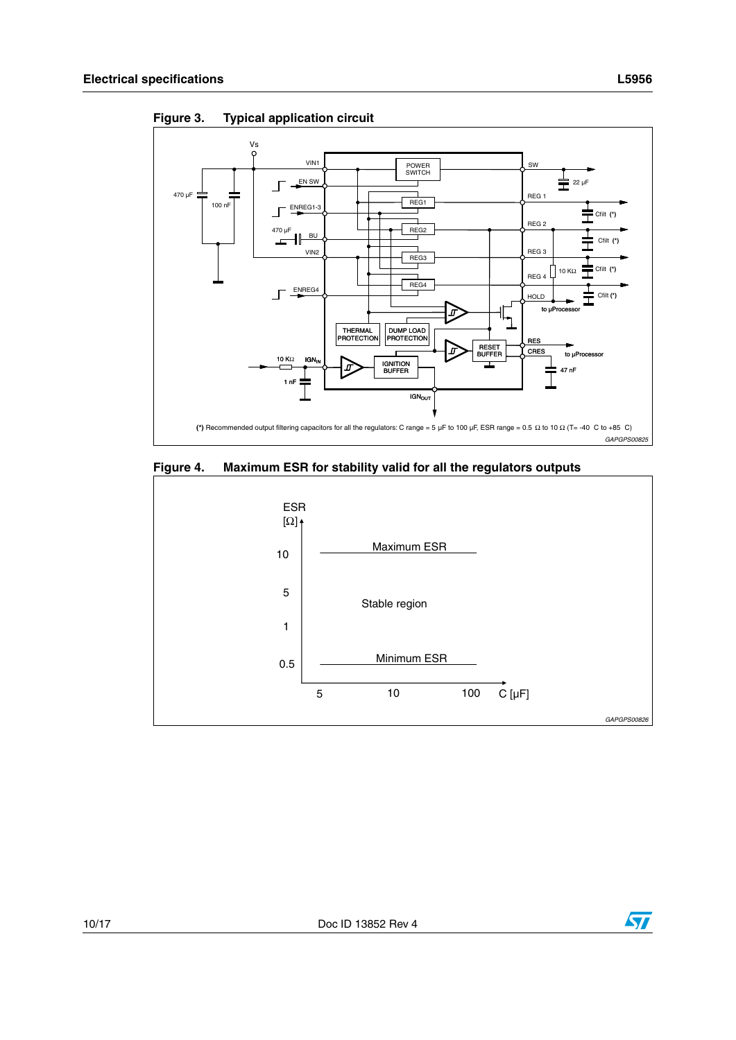

<span id="page-9-0"></span>**Figure 3. Typical application circuit**

<span id="page-9-1"></span>

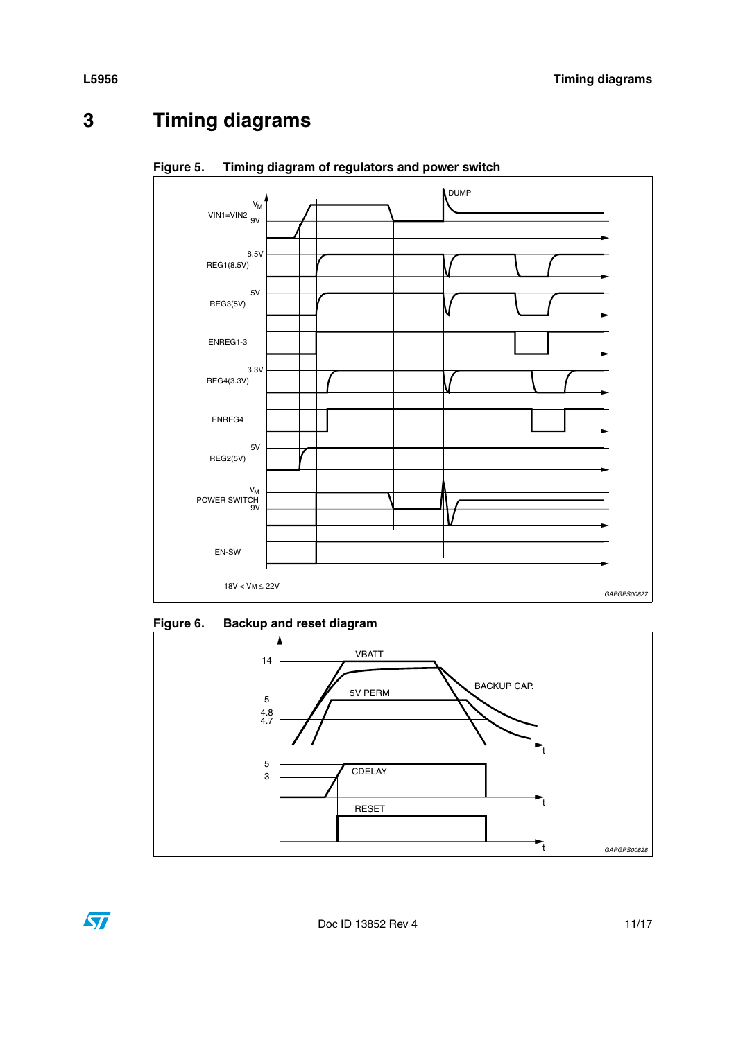#### <span id="page-10-0"></span> $\overline{\mathbf{3}}$ **Timing diagrams**



<span id="page-10-1"></span>Figure 5. Timing diagram of regulators and power switch

#### <span id="page-10-2"></span>Figure 6. **Backup and reset diagram**



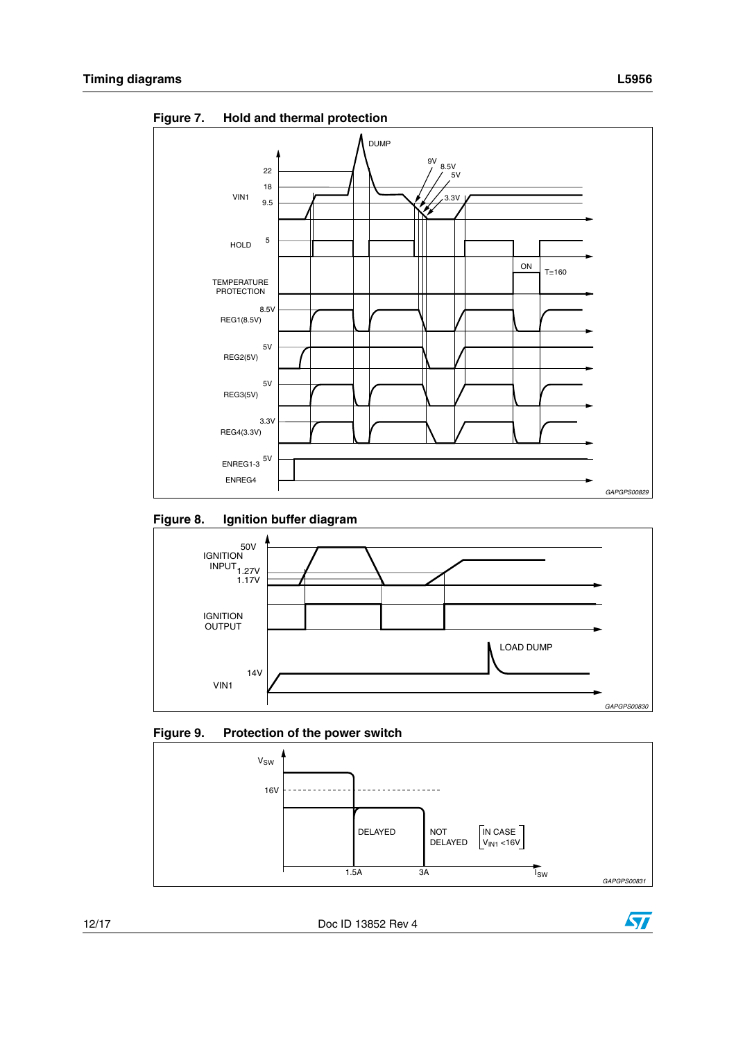

<span id="page-11-0"></span>Figure 7. **Hold and thermal protection** 

<span id="page-11-1"></span>



<span id="page-11-2"></span>



Doc ID 13852 Rev 4

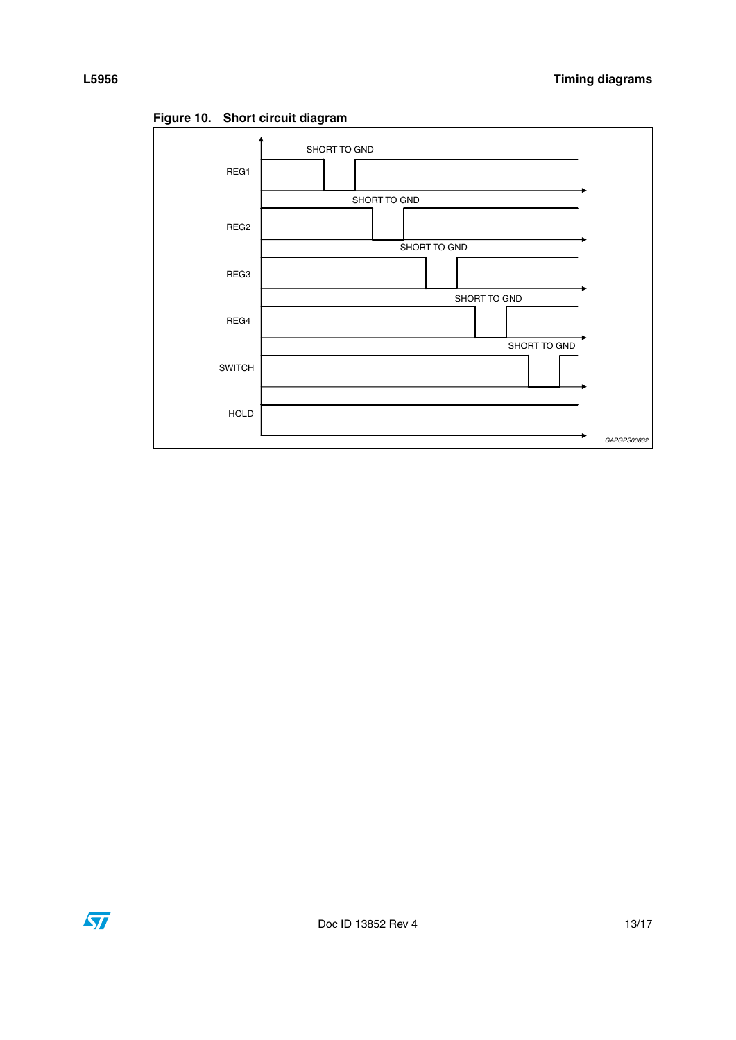

<span id="page-12-0"></span>Figure 10. Short circuit diagram

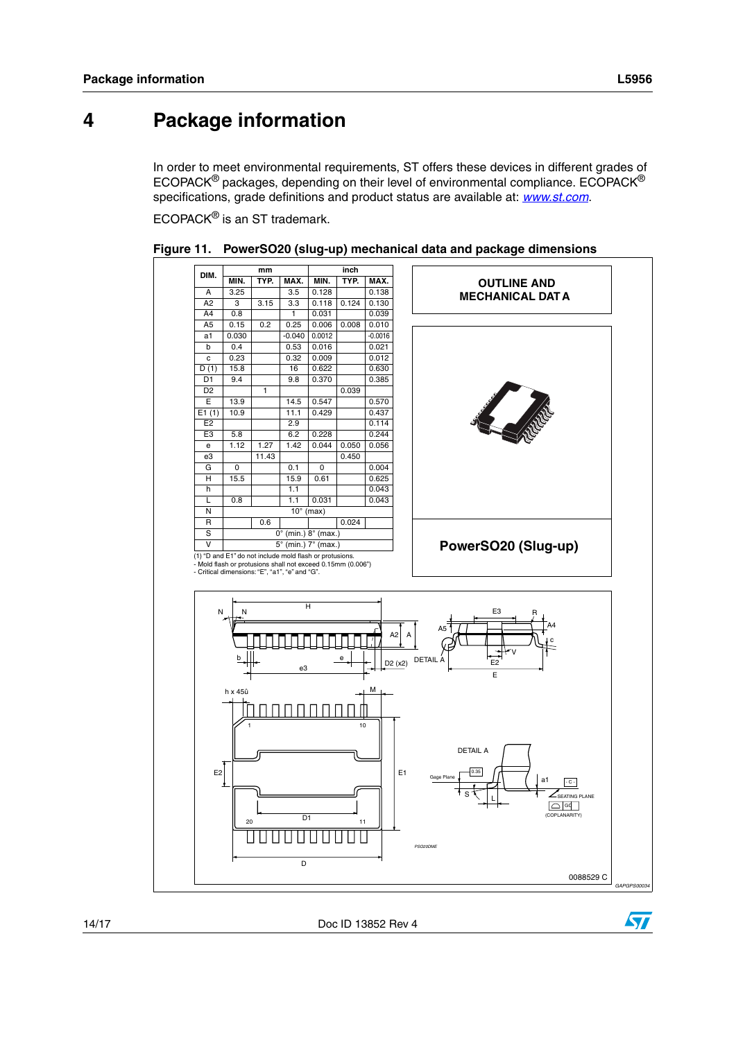## <span id="page-13-0"></span>**4 Package information**

In order to meet environmental requirements, ST offers these devices in different grades of ECOPACK® packages, depending on their level of environmental compliance. ECOPACK® specifications, grade definitions and product status are available at: *[www.st.com](http://www.st.com)*.

ECOPACK® is an ST trademark.



<span id="page-13-1"></span>

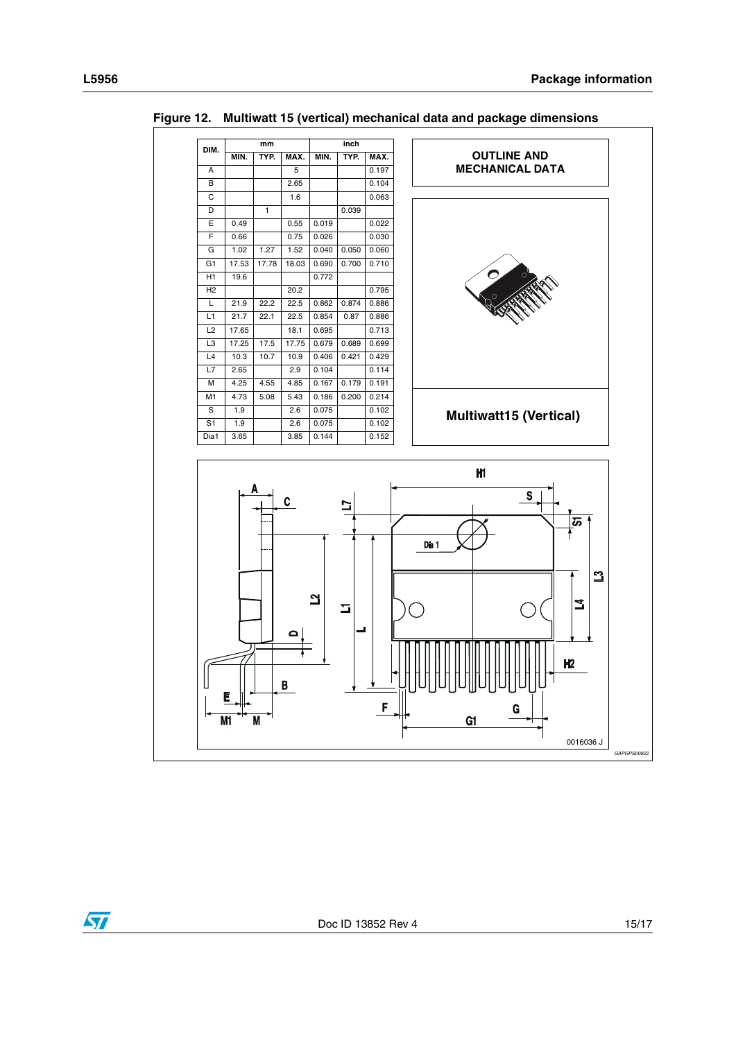

<span id="page-14-0"></span>Figure 12. Multiwatt 15 (vertical) mechanical data and package dimensions



F

 $G1$ 

GAPGPS0082

0016036J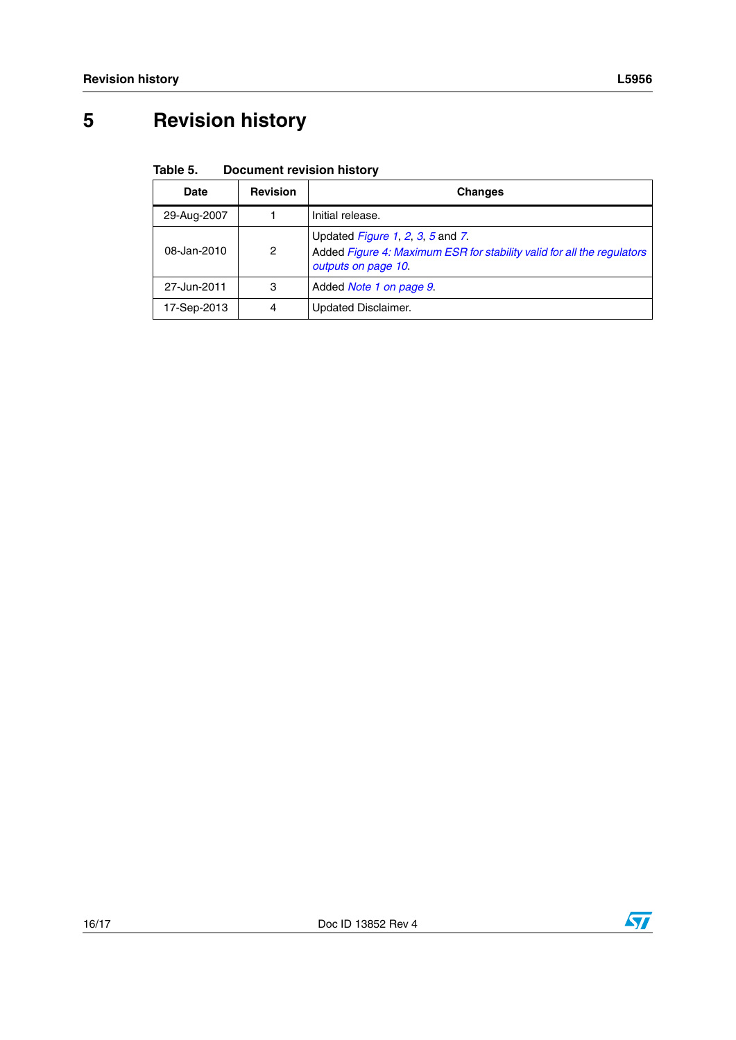## <span id="page-15-0"></span>**5 Revision history**

#### <span id="page-15-1"></span>Table 5. **Document revision history**

| Date        | <b>Revision</b> | <b>Changes</b>                                                                                                                    |
|-------------|-----------------|-----------------------------------------------------------------------------------------------------------------------------------|
| 29-Aug-2007 |                 | Initial release.                                                                                                                  |
| 08-Jan-2010 | 2               | Updated Figure 1, 2, 3, 5 and 7.<br>Added Figure 4: Maximum ESR for stability valid for all the regulators<br>outputs on page 10. |
| 27-Jun-2011 | 3               | Added <i>Note 1 on page 9</i>                                                                                                     |
| 17-Sep-2013 | 4               | <b>Updated Disclaimer.</b>                                                                                                        |